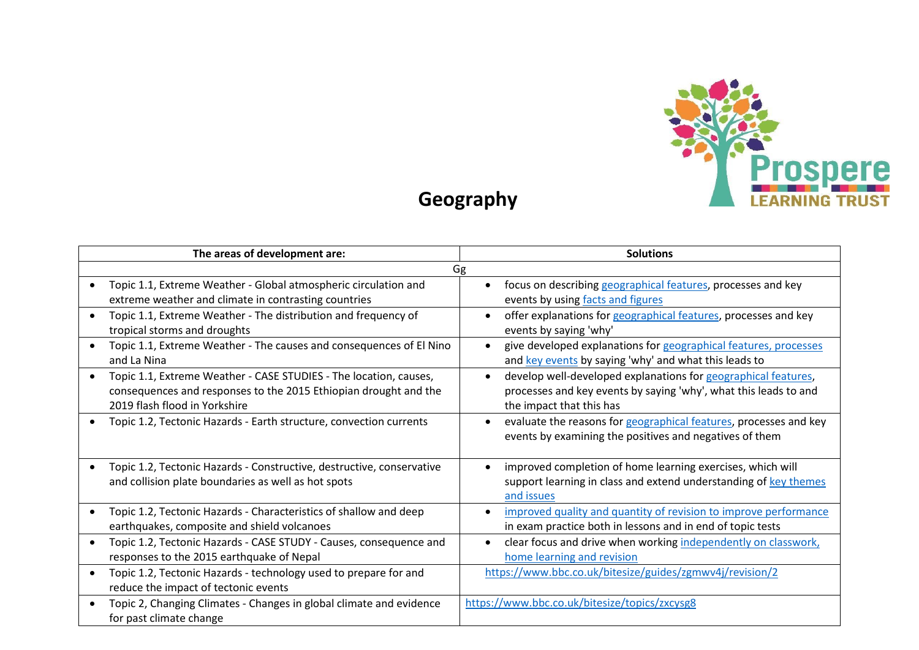

## **Geography**

| The areas of development are: |                                                                                                                                                                        | <b>Solutions</b>                                                                                                                                               |
|-------------------------------|------------------------------------------------------------------------------------------------------------------------------------------------------------------------|----------------------------------------------------------------------------------------------------------------------------------------------------------------|
| Gg                            |                                                                                                                                                                        |                                                                                                                                                                |
|                               | Topic 1.1, Extreme Weather - Global atmospheric circulation and<br>extreme weather and climate in contrasting countries                                                | focus on describing geographical features, processes and key<br>events by using facts and figures                                                              |
|                               | Topic 1.1, Extreme Weather - The distribution and frequency of<br>tropical storms and droughts                                                                         | offer explanations for geographical features, processes and key<br>events by saying 'why'                                                                      |
|                               | Topic 1.1, Extreme Weather - The causes and consequences of El Nino<br>and La Nina                                                                                     | give developed explanations for geographical features, processes<br>$\bullet$<br>and key events by saying 'why' and what this leads to                         |
|                               | Topic 1.1, Extreme Weather - CASE STUDIES - The location, causes,<br>consequences and responses to the 2015 Ethiopian drought and the<br>2019 flash flood in Yorkshire | develop well-developed explanations for geographical features,<br>processes and key events by saying 'why', what this leads to and<br>the impact that this has |
|                               | Topic 1.2, Tectonic Hazards - Earth structure, convection currents                                                                                                     | evaluate the reasons for geographical features, processes and key<br>events by examining the positives and negatives of them                                   |
|                               | Topic 1.2, Tectonic Hazards - Constructive, destructive, conservative<br>and collision plate boundaries as well as hot spots                                           | improved completion of home learning exercises, which will<br>support learning in class and extend understanding of key themes<br>and issues                   |
|                               | Topic 1.2, Tectonic Hazards - Characteristics of shallow and deep<br>earthquakes, composite and shield volcanoes                                                       | improved quality and quantity of revision to improve performance<br>in exam practice both in lessons and in end of topic tests                                 |
| $\bullet$                     | Topic 1.2, Tectonic Hazards - CASE STUDY - Causes, consequence and<br>responses to the 2015 earthquake of Nepal                                                        | clear focus and drive when working independently on classwork,<br>home learning and revision                                                                   |
| $\bullet$                     | Topic 1.2, Tectonic Hazards - technology used to prepare for and<br>reduce the impact of tectonic events                                                               | https://www.bbc.co.uk/bitesize/guides/zgmwv4j/revision/2                                                                                                       |
|                               | Topic 2, Changing Climates - Changes in global climate and evidence<br>for past climate change                                                                         | https://www.bbc.co.uk/bitesize/topics/zxcysg8                                                                                                                  |